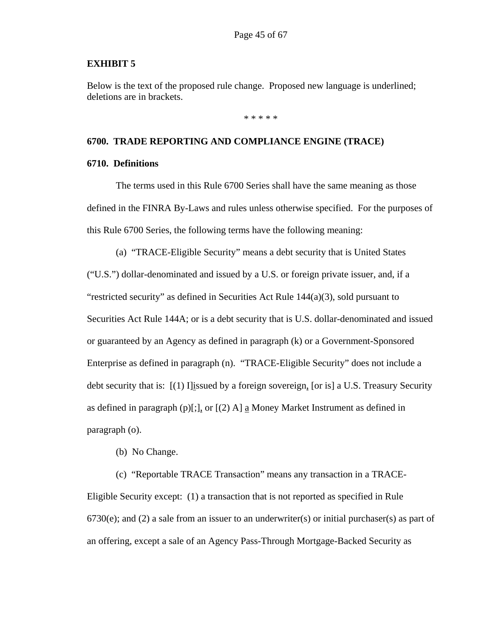#### **EXHIBIT 5**

Below is the text of the proposed rule change. Proposed new language is underlined; deletions are in brackets.

\* \* \* \* \*

#### **6700. TRADE REPORTING AND COMPLIANCE ENGINE (TRACE)**

#### **6710. Definitions**

The terms used in this Rule 6700 Series shall have the same meaning as those defined in the FINRA By-Laws and rules unless otherwise specified. For the purposes of this Rule 6700 Series, the following terms have the following meaning:

(a) "TRACE-Eligible Security" means a debt security that is United States ("U.S.") dollar-denominated and issued by a U.S. or foreign private issuer, and, if a "restricted security" as defined in Securities Act Rule  $144(a)(3)$ , sold pursuant to Securities Act Rule 144A; or is a debt security that is U.S. dollar-denominated and issued or guaranteed by an Agency as defined in paragraph (k) or a Government-Sponsored Enterprise as defined in paragraph (n). "TRACE-Eligible Security" does not include a debt security that is: [(1) I]issued by a foreign sovereign, [or is] a U.S. Treasury Security as defined in paragraph (p)[;], or  $[(2)$  A] a Money Market Instrument as defined in paragraph (o).

(b) No Change.

(c) "Reportable TRACE Transaction" means any transaction in a TRACE-Eligible Security except: (1) a transaction that is not reported as specified in Rule  $6730(e)$ ; and (2) a sale from an issuer to an underwriter(s) or initial purchaser(s) as part of an offering, except a sale of an Agency Pass-Through Mortgage-Backed Security as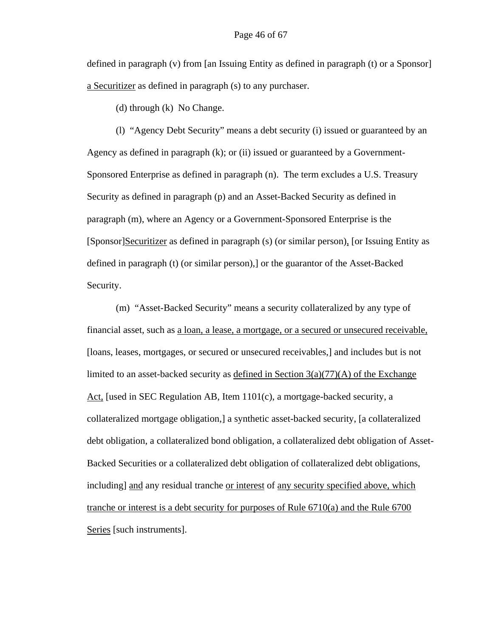defined in paragraph (v) from [an Issuing Entity as defined in paragraph (t) or a Sponsor] a Securitizer as defined in paragraph (s) to any purchaser.

(d) through (k) No Change.

(l) "Agency Debt Security" means a debt security (i) issued or guaranteed by an Agency as defined in paragraph (k); or (ii) issued or guaranteed by a Government-Sponsored Enterprise as defined in paragraph (n). The term excludes a U.S. Treasury Security as defined in paragraph (p) and an Asset-Backed Security as defined in paragraph (m), where an Agency or a Government-Sponsored Enterprise is the [Sponsor]Securitizer as defined in paragraph (s) (or similar person), [or Issuing Entity as defined in paragraph (t) (or similar person),] or the guarantor of the Asset-Backed Security.

(m) "Asset-Backed Security" means a security collateralized by any type of financial asset, such as a loan, a lease, a mortgage, or a secured or unsecured receivable, [loans, leases, mortgages, or secured or unsecured receivables,] and includes but is not limited to an asset-backed security as <u>defined in Section  $3(a)(77)(A)$  of the Exchange</u> Act, [used in SEC Regulation AB, Item  $1101(c)$ , a mortgage-backed security, a collateralized mortgage obligation,] a synthetic asset-backed security, [a collateralized debt obligation, a collateralized bond obligation, a collateralized debt obligation of Asset-Backed Securities or a collateralized debt obligation of collateralized debt obligations, including] and any residual tranche or interest of any security specified above, which tranche or interest is a debt security for purposes of Rule 6710(a) and the Rule 6700 Series [such instruments].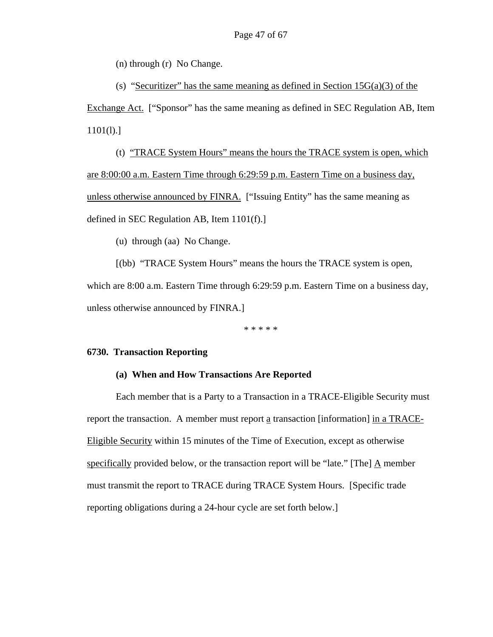(n) through (r) No Change.

(s) "Securitizer" has the same meaning as defined in Section  $15G(a)(3)$  of the Exchange Act. ["Sponsor" has the same meaning as defined in SEC Regulation AB, Item  $1101(l).$ 

(t) "TRACE System Hours" means the hours the TRACE system is open, which are 8:00:00 a.m. Eastern Time through 6:29:59 p.m. Eastern Time on a business day, unless otherwise announced by FINRA. ["Issuing Entity" has the same meaning as defined in SEC Regulation AB, Item 1101(f).]

(u) through (aa) No Change.

[(bb) "TRACE System Hours" means the hours the TRACE system is open, which are 8:00 a.m. Eastern Time through 6:29:59 p.m. Eastern Time on a business day, unless otherwise announced by FINRA.]

\* \* \* \* \*

#### **6730. Transaction Reporting**

#### **(a) When and How Transactions Are Reported**

Each member that is a Party to a Transaction in a TRACE-Eligible Security must report the transaction. A member must report a transaction [information] in a TRACE-Eligible Security within 15 minutes of the Time of Execution, except as otherwise specifically provided below, or the transaction report will be "late." [The]  $\Delta$  member must transmit the report to TRACE during TRACE System Hours. [Specific trade reporting obligations during a 24-hour cycle are set forth below.]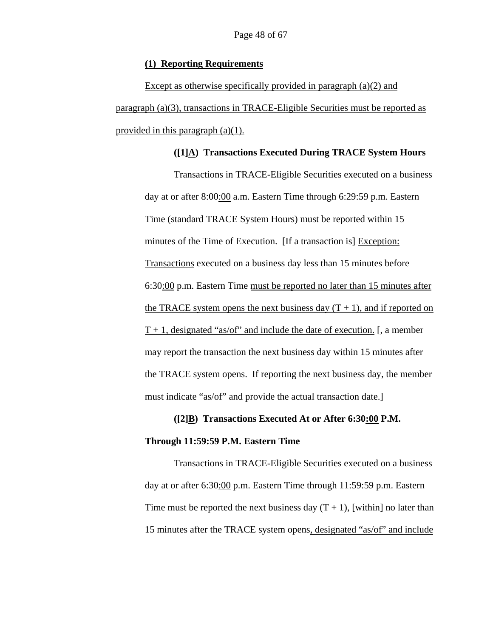#### **(1) Reporting Requirements**

Except as otherwise specifically provided in paragraph (a)(2) and paragraph (a)(3), transactions in TRACE-Eligible Securities must be reported as provided in this paragraph (a)(1).

#### **([1]A) Transactions Executed During TRACE System Hours**

Transactions in TRACE-Eligible Securities executed on a business day at or after 8:00:00 a.m. Eastern Time through 6:29:59 p.m. Eastern Time (standard TRACE System Hours) must be reported within 15 minutes of the Time of Execution. [If a transaction is] Exception: Transactions executed on a business day less than 15 minutes before 6:30:00 p.m. Eastern Time must be reported no later than 15 minutes after the TRACE system opens the next business day  $(T + 1)$ , and if reported on  $T + 1$ , designated "as/of" and include the date of execution. [, a member may report the transaction the next business day within 15 minutes after the TRACE system opens. If reporting the next business day, the member must indicate "as/of" and provide the actual transaction date.]

## **([2]B) Transactions Executed At or After 6:30:00 P.M. Through 11:59:59 P.M. Eastern Time**

Transactions in TRACE-Eligible Securities executed on a business day at or after 6:30:00 p.m. Eastern Time through 11:59:59 p.m. Eastern Time must be reported the next business day  $(T + 1)$ , [within] no later than 15 minutes after the TRACE system opens, designated "as/of" and include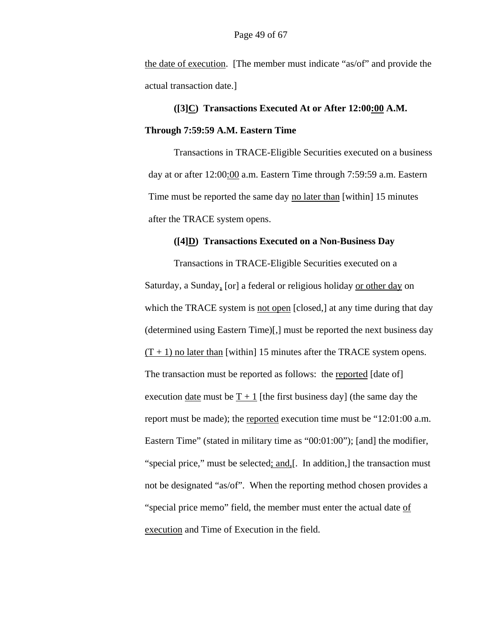the date of execution. [The member must indicate "as/of" and provide the actual transaction date.]

# **([3]C) Transactions Executed At or After 12:00:00 A.M. Through 7:59:59 A.M. Eastern Time**

 Transactions in TRACE-Eligible Securities executed on a business day at or after 12:00:00 a.m. Eastern Time through 7:59:59 a.m. Eastern Time must be reported the same day no later than [within] 15 minutes after the TRACE system opens.

#### **([4]D) Transactions Executed on a Non-Business Day**

Transactions in TRACE-Eligible Securities executed on a Saturday, a Sunday, [or] a federal or religious holiday or other day on which the TRACE system is not open [closed,] at any time during that day (determined using Eastern Time)[,] must be reported the next business day  $(T + 1)$  no later than [within] 15 minutes after the TRACE system opens. The transaction must be reported as follows: the reported [date of] execution date must be  $T + 1$  [the first business day] (the same day the report must be made); the reported execution time must be "12:01:00 a.m. Eastern Time" (stated in military time as "00:01:00"); [and] the modifier, "special price," must be selected; and, [. In addition,] the transaction must not be designated "as/of". When the reporting method chosen provides a "special price memo" field, the member must enter the actual date of execution and Time of Execution in the field.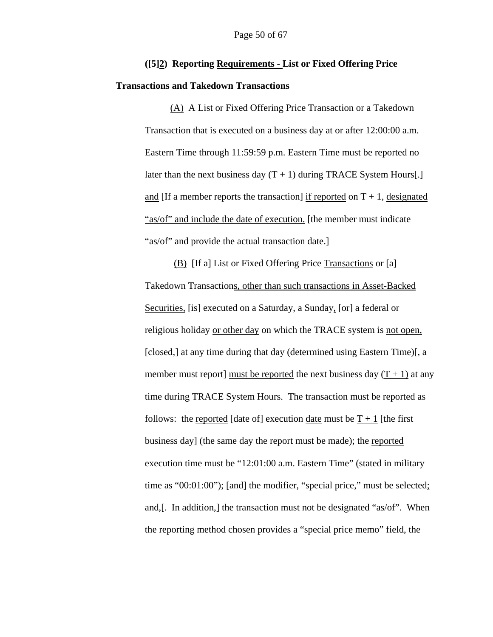## **([5]2) Reporting Requirements - List or Fixed Offering Price**

#### **Transactions and Takedown Transactions**

(A) A List or Fixed Offering Price Transaction or a Takedown Transaction that is executed on a business day at or after 12:00:00 a.m. Eastern Time through 11:59:59 p.m. Eastern Time must be reported no later than the next business day  $(T + 1)$  during TRACE System Hours[.] and [If a member reports the transaction] if reported on  $T + 1$ , designated "as/of" and include the date of execution. [the member must indicate "as/of" and provide the actual transaction date.]

(B) [If a] List or Fixed Offering Price Transactions or [a] Takedown Transactions, other than such transactions in Asset-Backed Securities, [is] executed on a Saturday, a Sunday, [or] a federal or religious holiday or other day on which the TRACE system is not open, [closed,] at any time during that day (determined using Eastern Time)[, a member must report] must be reported the next business day  $(T + 1)$  at any time during TRACE System Hours. The transaction must be reported as follows: the reported [date of] execution date must be  $T + 1$  [the first business day] (the same day the report must be made); the reported execution time must be "12:01:00 a.m. Eastern Time" (stated in military time as "00:01:00"); [and] the modifier, "special price," must be selected; and,[. In addition,] the transaction must not be designated "as/of". When the reporting method chosen provides a "special price memo" field, the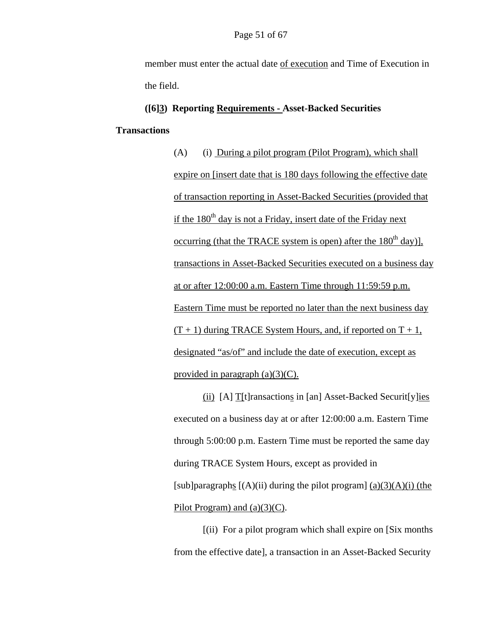member must enter the actual date of execution and Time of Execution in the field.

### **([6]3) Reporting Requirements - Asset-Backed Securities**

#### **Transactions**

(A) (i) During a pilot program (Pilot Program), which shall expire on [insert date that is 180 days following the effective date of transaction reporting in Asset-Backed Securities (provided that if the  $180<sup>th</sup>$  day is not a Friday, insert date of the Friday next occurring (that the TRACE system is open) after the  $180<sup>th</sup>$  day)], transactions in Asset-Backed Securities executed on a business day at or after 12:00:00 a.m. Eastern Time through 11:59:59 p.m. Eastern Time must be reported no later than the next business day  $(T + 1)$  during TRACE System Hours, and, if reported on  $T + 1$ , designated "as/of" and include the date of execution, except as provided in paragraph  $(a)(3)(C)$ .

(ii) [A] T[t]ransactions in [an] Asset-Backed Securit[y]ies executed on a business day at or after 12:00:00 a.m. Eastern Time through 5:00:00 p.m. Eastern Time must be reported the same day during TRACE System Hours, except as provided in [sub]paragraphs  $[(A)(ii)$  during the pilot program]  $(a)(3)(A)(i)$  (the Pilot Program) and (a)(3)(C).

[(ii) For a pilot program which shall expire on [Six months from the effective date], a transaction in an Asset-Backed Security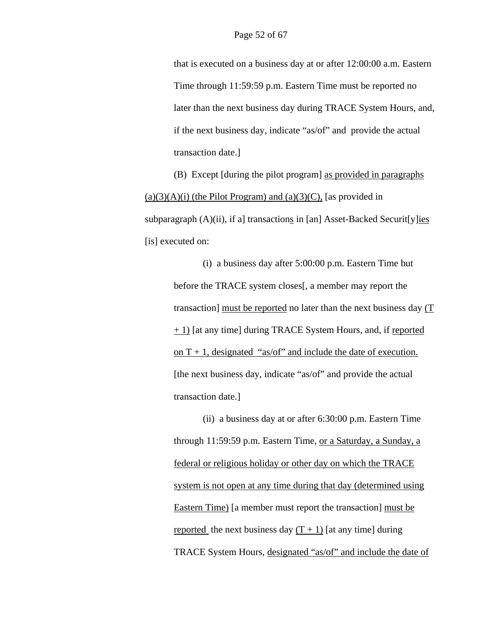that is executed on a business day at or after 12:00:00 a.m. Eastern Time through 11:59:59 p.m. Eastern Time must be reported no later than the next business day during TRACE System Hours, and, if the next business day, indicate "as/of" and provide the actual transaction date.]

(B) Except [during the pilot program] as provided in paragraphs  $(a)(3)(A)(i)$  (the Pilot Program) and  $(a)(3)(C)$ , [as provided in subparagraph  $(A)(ii)$ , if a] transactions in [an] Asset-Backed Securit[y]ies [is] executed on:

> (i) a business day after 5:00:00 p.m. Eastern Time but before the TRACE system closes[, a member may report the transaction] must be reported no later than the next business day (T + 1) [at any time] during TRACE System Hours, and, if reported on  $T + 1$ , designated "as/of" and include the date of execution. [the next business day, indicate "as/of" and provide the actual transaction date.]

(ii) a business day at or after 6:30:00 p.m. Eastern Time through 11:59:59 p.m. Eastern Time, or a Saturday, a Sunday, a federal or religious holiday or other day on which the TRACE system is not open at any time during that day (determined using Eastern Time) [a member must report the transaction] must be reported the next business day  $(T + 1)$  [at any time] during TRACE System Hours, designated "as/of" and include the date of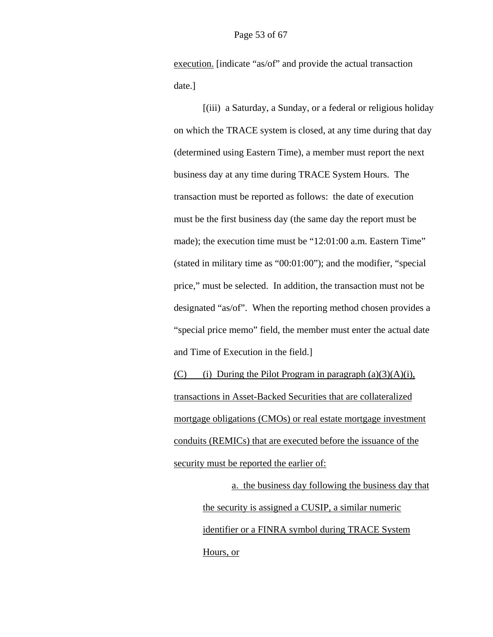execution. [indicate "as/of" and provide the actual transaction date.]

 [(iii) a Saturday, a Sunday, or a federal or religious holiday on which the TRACE system is closed, at any time during that day (determined using Eastern Time), a member must report the next business day at any time during TRACE System Hours. The transaction must be reported as follows: the date of execution must be the first business day (the same day the report must be made); the execution time must be "12:01:00 a.m. Eastern Time" (stated in military time as "00:01:00"); and the modifier, "special price," must be selected. In addition, the transaction must not be designated "as/of". When the reporting method chosen provides a "special price memo" field, the member must enter the actual date and Time of Execution in the field.]

(C) (i) During the Pilot Program in paragraph  $(a)(3)(A)(i)$ , transactions in Asset-Backed Securities that are collateralized mortgage obligations (CMOs) or real estate mortgage investment conduits (REMICs) that are executed before the issuance of the security must be reported the earlier of:

a. the business day following the business day that the security is assigned a CUSIP, a similar numeric identifier or a FINRA symbol during TRACE System Hours, or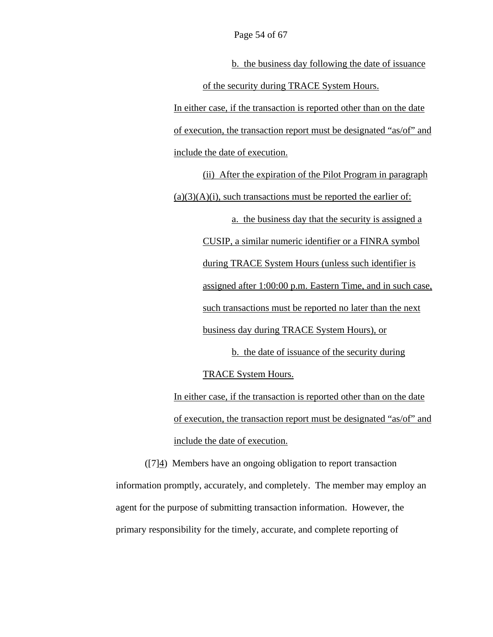b. the business day following the date of issuance of the security during TRACE System Hours. In either case, if the transaction is reported other than on the date

of execution, the transaction report must be designated "as/of" and include the date of execution.

(ii) After the expiration of the Pilot Program in paragraph  $(a)(3)(A)(i)$ , such transactions must be reported the earlier of: a. the business day that the security is assigned a CUSIP, a similar numeric identifier or a FINRA symbol during TRACE System Hours (unless such identifier is assigned after 1:00:00 p.m. Eastern Time, and in such case, such transactions must be reported no later than the next business day during TRACE System Hours), or

b. the date of issuance of the security during

TRACE System Hours.

In either case, if the transaction is reported other than on the date of execution, the transaction report must be designated "as/of" and include the date of execution.

 $([7]4)$  Members have an ongoing obligation to report transaction information promptly, accurately, and completely. The member may employ an agent for the purpose of submitting transaction information. However, the primary responsibility for the timely, accurate, and complete reporting of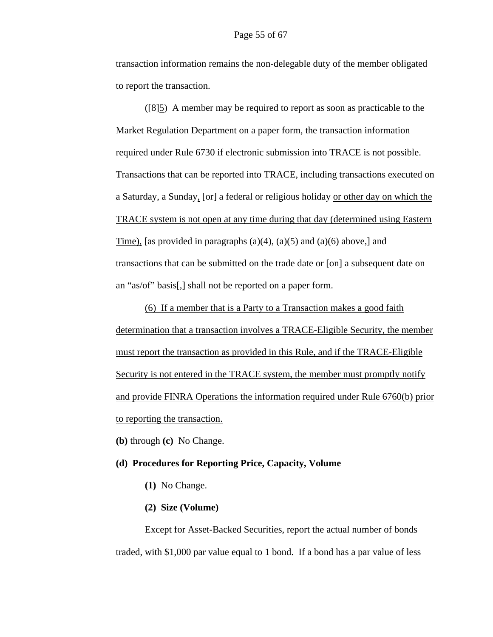transaction information remains the non-delegable duty of the member obligated to report the transaction.

([8]5) A member may be required to report as soon as practicable to the Market Regulation Department on a paper form, the transaction information required under Rule 6730 if electronic submission into TRACE is not possible. Transactions that can be reported into TRACE, including transactions executed on a Saturday, a Sunday, [or] a federal or religious holiday or other day on which the TRACE system is not open at any time during that day (determined using Eastern Time), [as provided in paragraphs  $(a)(4)$ ,  $(a)(5)$  and  $(a)(6)$  above,] and transactions that can be submitted on the trade date or [on] a subsequent date on an "as/of" basis[,] shall not be reported on a paper form.

(6) If a member that is a Party to a Transaction makes a good faith determination that a transaction involves a TRACE-Eligible Security, the member must report the transaction as provided in this Rule, and if the TRACE-Eligible Security is not entered in the TRACE system, the member must promptly notify and provide FINRA Operations the information required under Rule 6760(b) prior to reporting the transaction.

**(b)** through **(c)** No Change.

#### **(d) Procedures for Reporting Price, Capacity, Volume**

**(1)** No Change.

#### **(2) Size (Volume)**

Except for Asset-Backed Securities, report the actual number of bonds traded, with \$1,000 par value equal to 1 bond. If a bond has a par value of less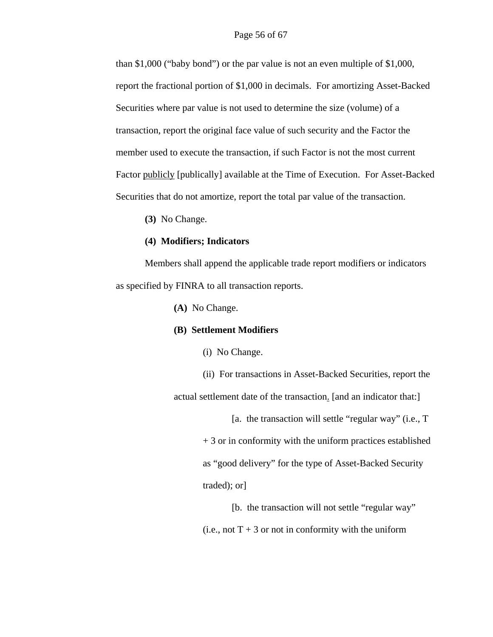than \$1,000 ("baby bond") or the par value is not an even multiple of \$1,000, report the fractional portion of \$1,000 in decimals. For amortizing Asset-Backed Securities where par value is not used to determine the size (volume) of a transaction, report the original face value of such security and the Factor the member used to execute the transaction, if such Factor is not the most current Factor publicly [publically] available at the Time of Execution. For Asset-Backed Securities that do not amortize, report the total par value of the transaction.

**(3)** No Change.

#### **(4) Modifiers; Indicators**

Members shall append the applicable trade report modifiers or indicators as specified by FINRA to all transaction reports.

**(A)** No Change.

#### **(B) Settlement Modifiers**

(i) No Change.

(ii) For transactions in Asset-Backed Securities, report the actual settlement date of the transaction. [and an indicator that:]

> [a. the transaction will settle "regular way" (i.e., T + 3 or in conformity with the uniform practices established as "good delivery" for the type of Asset-Backed Security traded); or]

[b. the transaction will not settle "regular way" (i.e., not  $T + 3$  or not in conformity with the uniform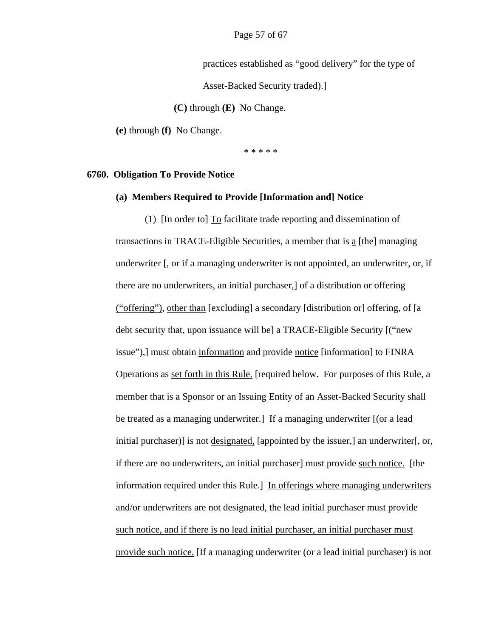practices established as "good delivery" for the type of

Asset-Backed Security traded).]

 **(C)** through **(E)** No Change.

**(e)** through **(f)** No Change.

\* \* \* \* \*

#### **6760. Obligation To Provide Notice**

#### **(a) Members Required to Provide [Information and] Notice**

(1) [In order to] To facilitate trade reporting and dissemination of transactions in TRACE-Eligible Securities, a member that is a [the] managing underwriter [, or if a managing underwriter is not appointed, an underwriter, or, if there are no underwriters, an initial purchaser,] of a distribution or offering ("offering"), other than [excluding] a secondary [distribution or] offering, of [a debt security that, upon issuance will be] a TRACE-Eligible Security [("new issue"),] must obtain information and provide notice [information] to FINRA Operations as set forth in this Rule. [required below. For purposes of this Rule, a member that is a Sponsor or an Issuing Entity of an Asset-Backed Security shall be treated as a managing underwriter.] If a managing underwriter [(or a lead initial purchaser)] is not designated, [appointed by the issuer,] an underwriter[, or, if there are no underwriters, an initial purchaser] must provide such notice. [the information required under this Rule.] In offerings where managing underwriters and/or underwriters are not designated, the lead initial purchaser must provide such notice, and if there is no lead initial purchaser, an initial purchaser must provide such notice. [If a managing underwriter (or a lead initial purchaser) is not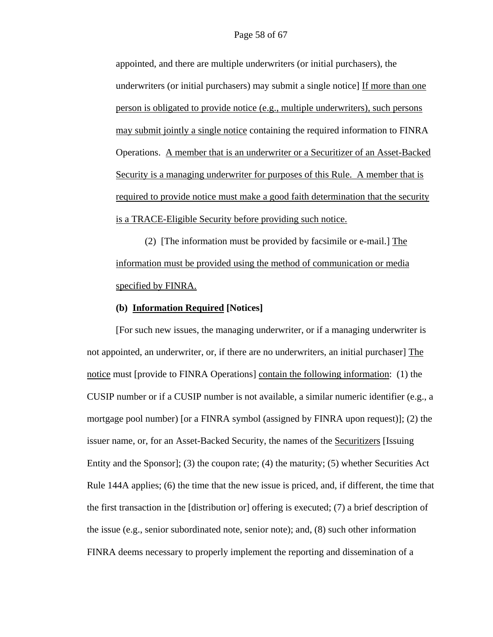appointed, and there are multiple underwriters (or initial purchasers), the underwriters (or initial purchasers) may submit a single notice] If more than one person is obligated to provide notice (e.g., multiple underwriters), such persons may submit jointly a single notice containing the required information to FINRA Operations. A member that is an underwriter or a Securitizer of an Asset-Backed Security is a managing underwriter for purposes of this Rule. A member that is required to provide notice must make a good faith determination that the security is a TRACE-Eligible Security before providing such notice.

(2) [The information must be provided by facsimile or e-mail.] The information must be provided using the method of communication or media specified by FINRA.

#### **(b) Information Required [Notices]**

[For such new issues, the managing underwriter, or if a managing underwriter is not appointed, an underwriter, or, if there are no underwriters, an initial purchaser] The notice must [provide to FINRA Operations] contain the following information: (1) the CUSIP number or if a CUSIP number is not available, a similar numeric identifier (e.g., a mortgage pool number) [or a FINRA symbol (assigned by FINRA upon request)]; (2) the issuer name, or, for an Asset-Backed Security, the names of the Securitizers [Issuing Entity and the Sponsor]; (3) the coupon rate; (4) the maturity; (5) whether Securities Act Rule 144A applies; (6) the time that the new issue is priced, and, if different, the time that the first transaction in the [distribution or] offering is executed; (7) a brief description of the issue (e.g., senior subordinated note, senior note); and, (8) such other information FINRA deems necessary to properly implement the reporting and dissemination of a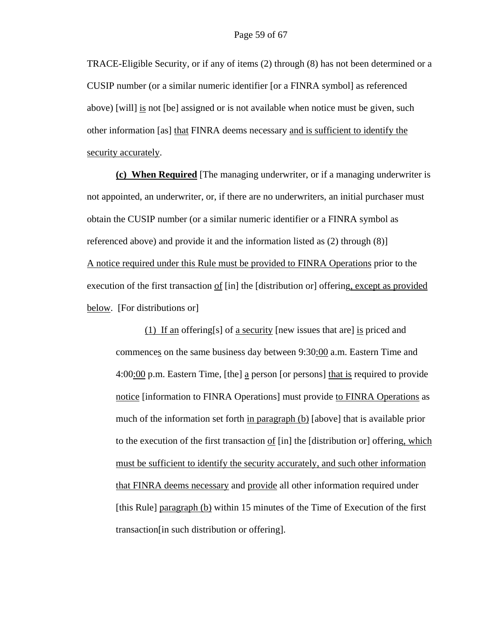TRACE-Eligible Security, or if any of items (2) through (8) has not been determined or a CUSIP number (or a similar numeric identifier [or a FINRA symbol] as referenced above) [will] is not [be] assigned or is not available when notice must be given, such other information [as] that FINRA deems necessary and is sufficient to identify the security accurately.

**(c) When Required** [The managing underwriter, or if a managing underwriter is not appointed, an underwriter, or, if there are no underwriters, an initial purchaser must obtain the CUSIP number (or a similar numeric identifier or a FINRA symbol as referenced above) and provide it and the information listed as (2) through (8)] A notice required under this Rule must be provided to FINRA Operations prior to the execution of the first transaction of [in] the [distribution or] offering, except as provided below. [For distributions or]

 (1) If an offering[s] of a security [new issues that are] is priced and commences on the same business day between 9:30:00 a.m. Eastern Time and 4:00:00 p.m. Eastern Time, [the] a person [or persons] that is required to provide notice [information to FINRA Operations] must provide to FINRA Operations as much of the information set forth in paragraph (b) [above] that is available prior to the execution of the first transaction of [in] the [distribution or] offering, which must be sufficient to identify the security accurately, and such other information that FINRA deems necessary and provide all other information required under [this Rule] paragraph (b) within 15 minutes of the Time of Execution of the first transaction[in such distribution or offering].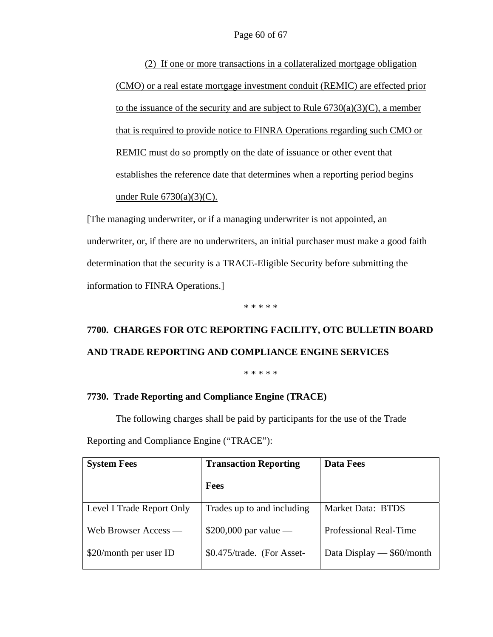(2) If one or more transactions in a collateralized mortgage obligation (CMO) or a real estate mortgage investment conduit (REMIC) are effected prior to the issuance of the security and are subject to Rule  $6730(a)(3)(C)$ , a member that is required to provide notice to FINRA Operations regarding such CMO or REMIC must do so promptly on the date of issuance or other event that establishes the reference date that determines when a reporting period begins under Rule 6730(a)(3)(C).

[The managing underwriter, or if a managing underwriter is not appointed, an underwriter, or, if there are no underwriters, an initial purchaser must make a good faith determination that the security is a TRACE-Eligible Security before submitting the information to FINRA Operations.]

\* \* \* \* \*

# **7700. CHARGES FOR OTC REPORTING FACILITY, OTC BULLETIN BOARD AND TRADE REPORTING AND COMPLIANCE ENGINE SERVICES**

\* \* \* \* \*

#### **7730. Trade Reporting and Compliance Engine (TRACE)**

The following charges shall be paid by participants for the use of the Trade

| <b>System Fees</b>        | <b>Transaction Reporting</b> | <b>Data Fees</b>              |
|---------------------------|------------------------------|-------------------------------|
|                           | <b>Fees</b>                  |                               |
| Level I Trade Report Only | Trades up to and including   | Market Data: BTDS             |
| Web Browser Access —      | $$200,000$ par value —       | <b>Professional Real-Time</b> |
| \$20/month per user ID    | \$0.475/trade. (For Asset-   | Data Display $-$ \$60/month   |

Reporting and Compliance Engine ("TRACE"):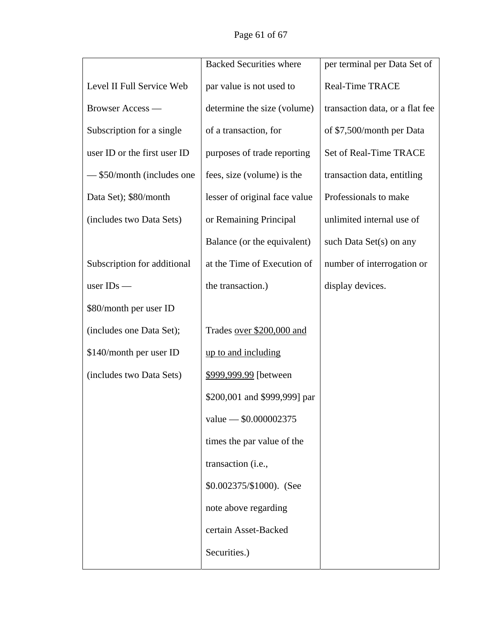Page 61 of 67

|                              | <b>Backed Securities where</b> | per terminal per Data Set of    |
|------------------------------|--------------------------------|---------------------------------|
| Level II Full Service Web    | par value is not used to       | <b>Real-Time TRACE</b>          |
| <b>Browser Access</b> —      | determine the size (volume)    | transaction data, or a flat fee |
| Subscription for a single    | of a transaction, for          | of \$7,500/month per Data       |
| user ID or the first user ID | purposes of trade reporting    | Set of Real-Time TRACE          |
| - \$50/month (includes one   | fees, size (volume) is the     | transaction data, entitling     |
| Data Set); \$80/month        | lesser of original face value  | Professionals to make           |
| (includes two Data Sets)     | or Remaining Principal         | unlimited internal use of       |
|                              | Balance (or the equivalent)    | such Data Set(s) on any         |
| Subscription for additional  | at the Time of Execution of    | number of interrogation or      |
| user $IDs$ —                 | the transaction.)              | display devices.                |
| \$80/month per user ID       |                                |                                 |
| (includes one Data Set);     | Trades over \$200,000 and      |                                 |
| \$140/month per user ID      | up to and including            |                                 |
| (includes two Data Sets)     | \$999,999.99 [between]         |                                 |
|                              | \$200,001 and \$999,999] par   |                                 |
|                              | value $-$ \$0.000002375        |                                 |
|                              | times the par value of the     |                                 |
|                              | transaction (i.e.,             |                                 |
|                              | \$0.002375/\$1000). (See       |                                 |
|                              | note above regarding           |                                 |
|                              | certain Asset-Backed           |                                 |
|                              | Securities.)                   |                                 |
|                              |                                |                                 |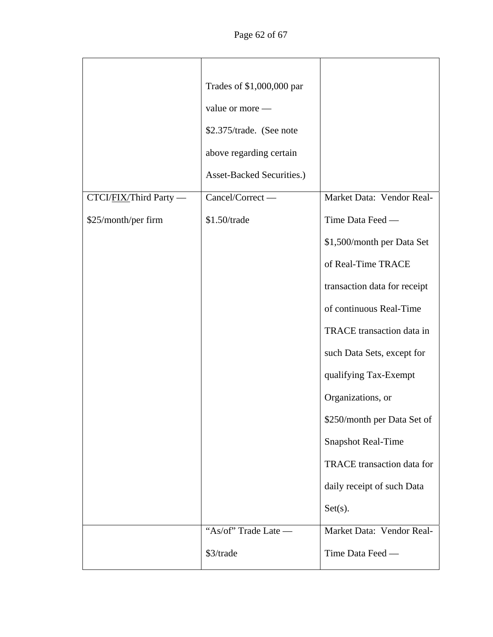|                        | Trades of \$1,000,000 par<br>value or more -<br>\$2.375/trade. (See note<br>above regarding certain |                              |
|------------------------|-----------------------------------------------------------------------------------------------------|------------------------------|
|                        | <b>Asset-Backed Securities.)</b>                                                                    |                              |
| CTCI/FIX/Third Party - | Cancel/Correct -                                                                                    | Market Data: Vendor Real-    |
| \$25/month/per firm    | $$1.50$ /trade                                                                                      | Time Data Feed -             |
|                        |                                                                                                     | \$1,500/month per Data Set   |
|                        |                                                                                                     | of Real-Time TRACE           |
|                        |                                                                                                     | transaction data for receipt |
|                        |                                                                                                     | of continuous Real-Time      |
|                        |                                                                                                     | TRACE transaction data in    |
|                        |                                                                                                     | such Data Sets, except for   |
|                        |                                                                                                     | qualifying Tax-Exempt        |
|                        |                                                                                                     | Organizations, or            |
|                        |                                                                                                     | \$250/month per Data Set of  |
|                        |                                                                                                     | <b>Snapshot Real-Time</b>    |
|                        |                                                                                                     | TRACE transaction data for   |
|                        |                                                                                                     | daily receipt of such Data   |
|                        |                                                                                                     | $Set(s)$ .                   |
|                        | "As/of" Trade Late —                                                                                | Market Data: Vendor Real-    |
|                        | \$3/trade                                                                                           | Time Data Feed —             |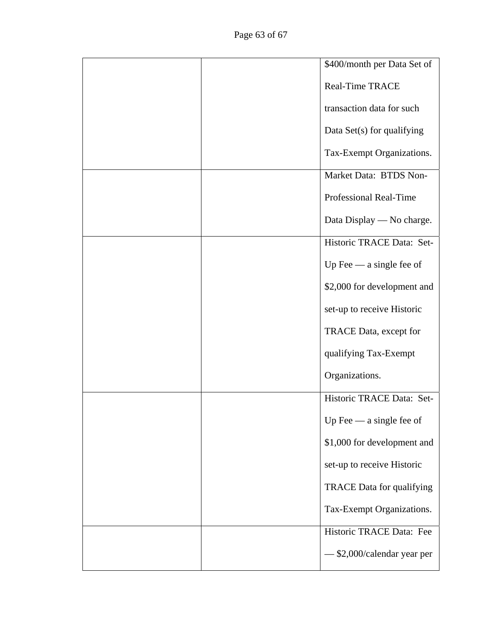|  | \$400/month per Data Set of |
|--|-----------------------------|
|  | <b>Real-Time TRACE</b>      |
|  | transaction data for such   |
|  | Data Set(s) for qualifying  |
|  | Tax-Exempt Organizations.   |
|  | Market Data: BTDS Non-      |
|  | Professional Real-Time      |
|  | Data Display — No charge.   |
|  | Historic TRACE Data: Set-   |
|  | Up Fee $-$ a single fee of  |
|  | \$2,000 for development and |
|  | set-up to receive Historic  |
|  | TRACE Data, except for      |
|  | qualifying Tax-Exempt       |
|  | Organizations.              |
|  | Historic TRACE Data: Set-   |
|  | Up Fee $-$ a single fee of  |
|  | \$1,000 for development and |
|  | set-up to receive Historic  |
|  | TRACE Data for qualifying   |
|  | Tax-Exempt Organizations.   |
|  | Historic TRACE Data: Fee    |
|  | \$2,000/calendar year per   |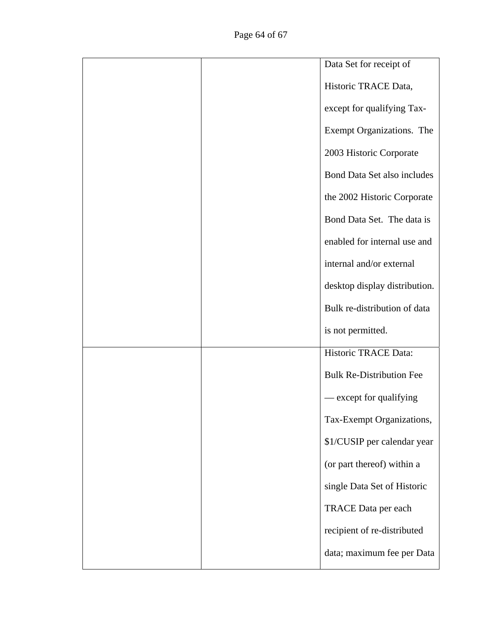|  | Data Set for receipt of            |
|--|------------------------------------|
|  | Historic TRACE Data,               |
|  | except for qualifying Tax-         |
|  | Exempt Organizations. The          |
|  | 2003 Historic Corporate            |
|  | <b>Bond Data Set also includes</b> |
|  | the 2002 Historic Corporate        |
|  | Bond Data Set. The data is         |
|  | enabled for internal use and       |
|  | internal and/or external           |
|  | desktop display distribution.      |
|  | Bulk re-distribution of data       |
|  | is not permitted.                  |
|  | Historic TRACE Data:               |
|  | <b>Bulk Re-Distribution Fee</b>    |
|  | — except for qualifying            |
|  | Tax-Exempt Organizations,          |
|  | \$1/CUSIP per calendar year        |
|  | (or part thereof) within a         |
|  | single Data Set of Historic        |
|  | TRACE Data per each                |
|  | recipient of re-distributed        |
|  | data; maximum fee per Data         |
|  |                                    |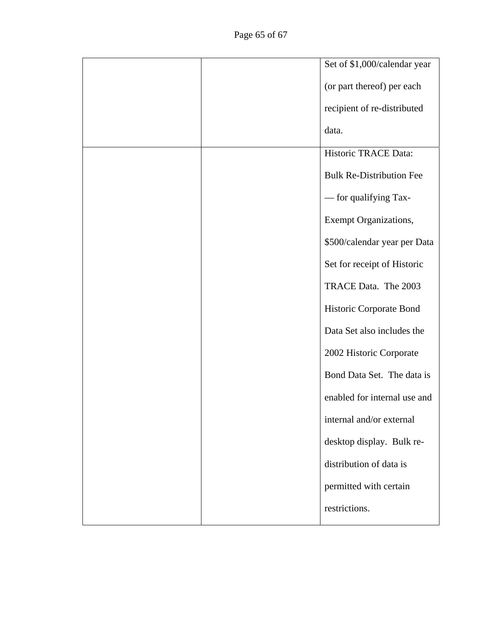|  | Set of \$1,000/calendar year    |
|--|---------------------------------|
|  | (or part thereof) per each      |
|  | recipient of re-distributed     |
|  | data.                           |
|  | Historic TRACE Data:            |
|  | <b>Bulk Re-Distribution Fee</b> |
|  | - for qualifying Tax-           |
|  | <b>Exempt Organizations,</b>    |
|  | \$500/calendar year per Data    |
|  | Set for receipt of Historic     |
|  | TRACE Data. The 2003            |
|  | Historic Corporate Bond         |
|  | Data Set also includes the      |
|  | 2002 Historic Corporate         |
|  | Bond Data Set. The data is      |
|  | enabled for internal use and    |
|  | internal and/or external        |
|  | desktop display. Bulk re-       |
|  | distribution of data is         |
|  | permitted with certain          |
|  | restrictions.                   |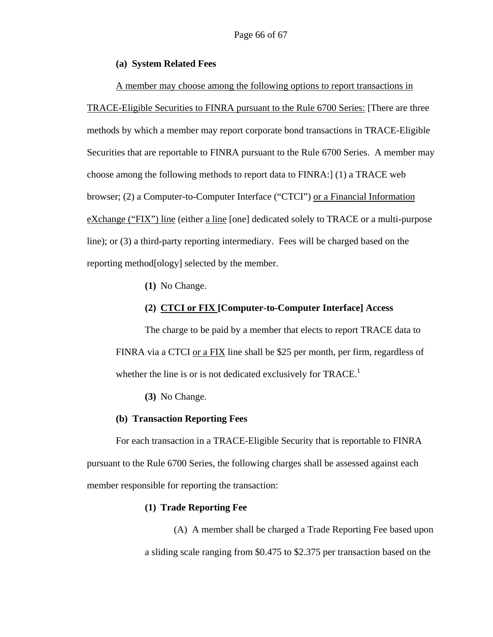#### **(a) System Related Fees**

A member may choose among the following options to report transactions in TRACE-Eligible Securities to FINRA pursuant to the Rule 6700 Series: [There are three methods by which a member may report corporate bond transactions in TRACE-Eligible Securities that are reportable to FINRA pursuant to the Rule 6700 Series. A member may choose among the following methods to report data to FINRA:] (1) a TRACE web browser; (2) a Computer-to-Computer Interface ("CTCI") or a Financial Information eXchange ("FIX") line (either a line [one] dedicated solely to TRACE or a multi-purpose line); or (3) a third-party reporting intermediary. Fees will be charged based on the reporting method[ology] selected by the member.

**(1)** No Change.

#### **(2) CTCI or FIX [Computer-to-Computer Interface] Access**

The charge to be paid by a member that elects to report TRACE data to FINRA via a CTCI or a FIX line shall be \$25 per month, per firm, regardless of whether the line is or is not dedicated exclusively for  $\text{TRACE.}^1$ 

**(3)** No Change.

#### **(b) Transaction Reporting Fees**

For each transaction in a TRACE-Eligible Security that is reportable to FINRA pursuant to the Rule 6700 Series, the following charges shall be assessed against each member responsible for reporting the transaction:

#### **(1) Trade Reporting Fee**

 (A) A member shall be charged a Trade Reporting Fee based upon a sliding scale ranging from \$0.475 to \$2.375 per transaction based on the